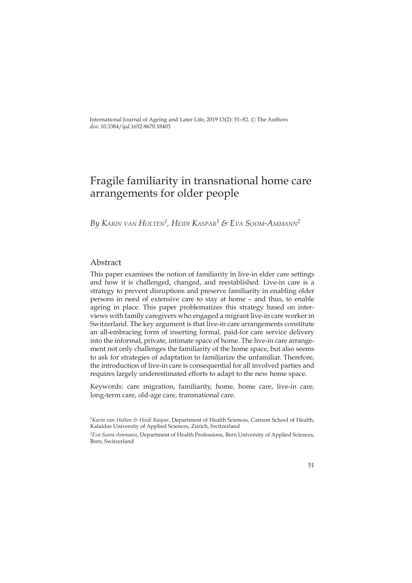International Journal of Ageing and Later Life, 2019 13(2): 51-82. © The Authors doi: [10.3384/ijal.1652-8670.18403](http://dx.doi.org/10.3384/ijal.1652-8670.18403)

# Fragile familiarity in transnational home care arrangements for older people

*By Karin van Holten<sup>1</sup> , Heidi Kaspar<sup>1</sup> & eva soom-ammann<sup>2</sup>*

# Abstract

This paper examines the notion of familiarity in live-in elder care settings and how it is challenged, changed, and reestablished. Live-in care is a strategy to prevent disruptions and preserve familiarity in enabling older persons in need of extensive care to stay at home – and thus, to enable ageing in place. This paper problematizes this strategy based on interviews with family caregivers who engaged a migrant live-in care worker in Switzerland. The key argument is that live-in care arrangements constitute an all-embracing form of inserting formal, paid-for care service delivery into the informal, private, intimate space of home. The live-in care arrangement not only challenges the familiarity of the home space, but also seems to ask for strategies of adaptation to familiarize the unfamiliar. Therefore, the introduction of live-in care is consequential for all involved parties and requires largely underestimated efforts to adapt to the new home space.

Keywords: care migration, familiarity, home, home care, live-in care, long-term care, old-age care, transnational care.

<sup>1</sup>*Karin van Holten & Heidi Kaspar*, Department of Health Sciences, Careum School of Health, Kalaidos University of Applied Sciences, Zurich, Switzerland

<sup>2</sup>*Eva Soom-Ammann*, Department of Health Professions, Bern University of Applied Sciences, Bern, Switzerland

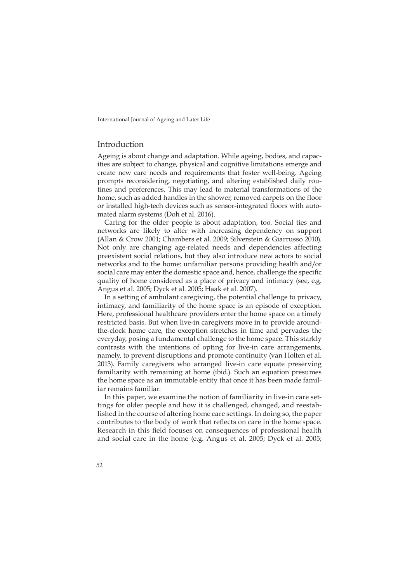### Introduction

Ageing is about change and adaptation. While ageing, bodies, and capacities are subject to change, physical and cognitive limitations emerge and create new care needs and requirements that foster well-being. Ageing prompts reconsidering, negotiating, and altering established daily routines and preferences. This may lead to material transformations of the home, such as added handles in the shower, removed carpets on the floor or installed high-tech devices such as sensor-integrated floors with automated alarm systems (Doh et al. 2016).

Caring for the older people is about adaptation, too. Social ties and networks are likely to alter with increasing dependency on support (Allan & Crow 2001; Chambers et al. 2009; Silverstein & Giarrusso 2010). Not only are changing age-related needs and dependencies affecting preexistent social relations, but they also introduce new actors to social networks and to the home: unfamiliar persons providing health and/or social care may enter the domestic space and, hence, challenge the specific quality of home considered as a place of privacy and intimacy (see, e.g. Angus et al. 2005; Dyck et al. 2005; Haak et al. 2007).

In a setting of ambulant caregiving, the potential challenge to privacy, intimacy, and familiarity of the home space is an episode of exception. Here, professional healthcare providers enter the home space on a timely restricted basis. But when live-in caregivers move in to provide aroundthe-clock home care, the exception stretches in time and pervades the everyday, posing a fundamental challenge to the home space. This starkly contrasts with the intentions of opting for live-in care arrangements, namely, to prevent disruptions and promote continuity (van Holten et al. 2013). Family caregivers who arranged live-in care equate preserving familiarity with remaining at home (ibid.). Such an equation presumes the home space as an immutable entity that once it has been made familiar remains familiar.

In this paper, we examine the notion of familiarity in live-in care settings for older people and how it is challenged, changed, and reestablished in the course of altering home care settings. In doing so, the paper contributes to the body of work that reflects on care in the home space. Research in this field focuses on consequences of professional health and social care in the home (e.g. Angus et al. 2005; Dyck et al. 2005;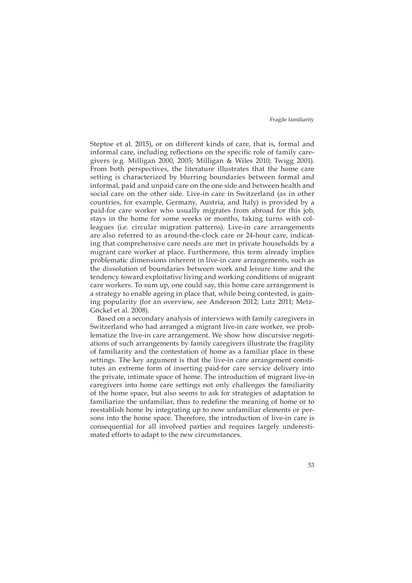Steptoe et al. 2015), or on different kinds of care, that is, formal and informal care, including reflections on the specific role of family caregivers (e.g. Milligan 2000, 2005; Milligan & Wiles 2010; Twigg 2001). From both perspectives, the literature illustrates that the home care setting is characterized by blurring boundaries between formal and informal, paid and unpaid care on the one side and between health and social care on the other side. Live-in care in Switzerland (as in other countries, for example, Germany, Austria, and Italy) is provided by a paid-for care worker who usually migrates from abroad for this job, stays in the home for some weeks or months, taking turns with colleagues (i.e. circular migration patterns). Live-in care arrangements are also referred to as around-the-clock care or 24-hour care, indicating that comprehensive care needs are met in private households by a migrant care worker at place. Furthermore, this term already implies problematic dimensions inherent in live-in care arrangements, such as the dissolution of boundaries between work and leisure time and the tendency toward exploitative living and working conditions of migrant care workers. To sum up, one could say, this home care arrangement is a strategy to enable ageing in place that, while being contested, is gaining popularity (for an overview, see Anderson 2012; Lutz 2011; Metz-Göckel et al. 2008).

Based on a secondary analysis of interviews with family caregivers in Switzerland who had arranged a migrant live-in care worker, we problematize the live-in care arrangement. We show how discursive negotiations of such arrangements by family caregivers illustrate the fragility of familiarity and the contestation of home as a familiar place in these settings. The key argument is that the live-in care arrangement constitutes an extreme form of inserting paid-for care service delivery into the private, intimate space of home. The introduction of migrant live-in caregivers into home care settings not only challenges the familiarity of the home space, but also seems to ask for strategies of adaptation to familiarize the unfamiliar, thus to redefine the meaning of home or to reestablish home by integrating up to now unfamiliar elements or persons into the home space. Therefore, the introduction of live-in care is consequential for all involved parties and requires largely underestimated efforts to adapt to the new circumstances.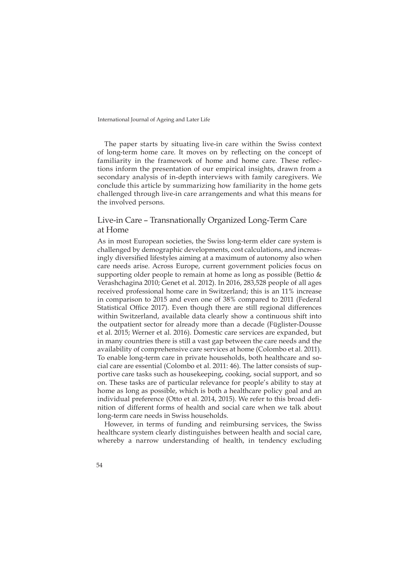The paper starts by situating live-in care within the Swiss context of long-term home care. It moves on by reflecting on the concept of familiarity in the framework of home and home care. These reflections inform the presentation of our empirical insights, drawn from a secondary analysis of in-depth interviews with family caregivers. We conclude this article by summarizing how familiarity in the home gets challenged through live-in care arrangements and what this means for the involved persons.

# Live-in Care – Transnationally Organized Long-Term Care at Home

As in most European societies, the Swiss long-term elder care system is challenged by demographic developments, cost calculations, and increasingly diversified lifestyles aiming at a maximum of autonomy also when care needs arise. Across Europe, current government policies focus on supporting older people to remain at home as long as possible (Bettio & Verashchagina 2010; Genet et al. 2012). In 2016, 283,528 people of all ages received professional home care in Switzerland; this is an 11% increase in comparison to 2015 and even one of 38% compared to 2011 (Federal Statistical Office 2017). Even though there are still regional differences within Switzerland, available data clearly show a continuous shift into the outpatient sector for already more than a decade (Füglister-Dousse et al. 2015; Werner et al. 2016). Domestic care services are expanded, but in many countries there is still a vast gap between the care needs and the availability of comprehensive care services at home (Colombo et al. 2011). To enable long-term care in private households, both healthcare and social care are essential (Colombo et al. 2011: 46). The latter consists of supportive care tasks such as housekeeping, cooking, social support, and so on. These tasks are of particular relevance for people's ability to stay at home as long as possible, which is both a healthcare policy goal and an individual preference (Otto et al. 2014, 2015). We refer to this broad definition of different forms of health and social care when we talk about long-term care needs in Swiss households.

However, in terms of funding and reimbursing services, the Swiss healthcare system clearly distinguishes between health and social care, whereby a narrow understanding of health, in tendency excluding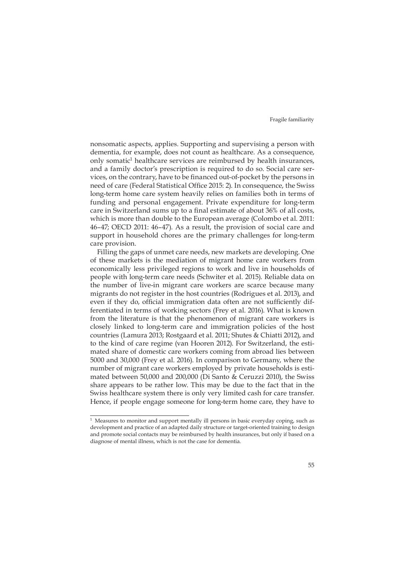nonsomatic aspects, applies. Supporting and supervising a person with dementia, for example, does not count as healthcare. As a consequence, only somatic<sup>1</sup> healthcare services are reimbursed by health insurances, and a family doctor's prescription is required to do so. Social care services, on the contrary, have to be financed out-of-pocket by the persons in need of care (Federal Statistical Office 2015: 2). In consequence, the Swiss long-term home care system heavily relies on families both in terms of funding and personal engagement. Private expenditure for long-term care in Switzerland sums up to a final estimate of about 36% of all costs, which is more than double to the European average (Colombo et al. 2011: 46–47; OECD 2011: 46–47). As a result, the provision of social care and support in household chores are the primary challenges for long-term care provision.

Filling the gaps of unmet care needs, new markets are developing. One of these markets is the mediation of migrant home care workers from economically less privileged regions to work and live in households of people with long-term care needs (Schwiter et al. 2015). Reliable data on the number of live-in migrant care workers are scarce because many migrants do not register in the host countries (Rodrigues et al. 2013), and even if they do, official immigration data often are not sufficiently differentiated in terms of working sectors (Frey et al. 2016). What is known from the literature is that the phenomenon of migrant care workers is closely linked to long-term care and immigration policies of the host countries (Lamura 2013; Rostgaard et al. 2011; Shutes & Chiatti 2012), and to the kind of care regime (van Hooren 2012). For Switzerland, the estimated share of domestic care workers coming from abroad lies between 5000 and 30,000 (Frey et al. 2016). In comparison to Germany, where the number of migrant care workers employed by private households is estimated between 50,000 and 200,000 (Di Santo & Ceruzzi 2010), the Swiss share appears to be rather low. This may be due to the fact that in the Swiss healthcare system there is only very limited cash for care transfer. Hence, if people engage someone for long-term home care, they have to

<sup>&</sup>lt;sup>1</sup> Measures to monitor and support mentally ill persons in basic everyday coping, such as development and practice of an adapted daily structure or target-oriented training to design and promote social contacts may be reimbursed by health insurances, but only if based on a diagnose of mental illness, which is not the case for dementia.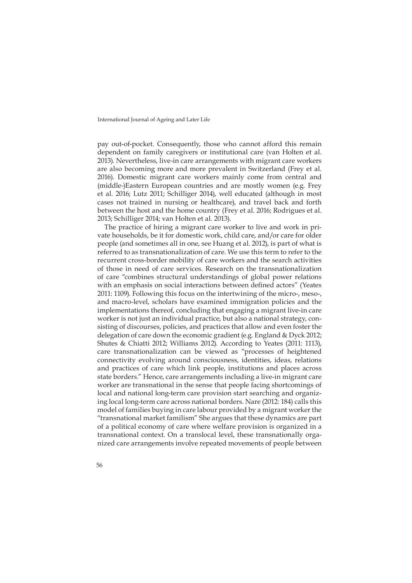pay out-of-pocket. Consequently, those who cannot afford this remain dependent on family caregivers or institutional care (van Holten et al. 2013). Nevertheless, live-in care arrangements with migrant care workers are also becoming more and more prevalent in Switzerland (Frey et al. 2016). Domestic migrant care workers mainly come from central and (middle-)Eastern European countries and are mostly women (e.g. Frey et al. 2016; Lutz 2011; Schilliger 2014), well educated (although in most cases not trained in nursing or healthcare), and travel back and forth between the host and the home country (Frey et al. 2016; Rodrigues et al. 2013; Schilliger 2014; van Holten et al. 2013).

The practice of hiring a migrant care worker to live and work in private households, be it for domestic work, child care, and/or care for older people (and sometimes all in one, see Huang et al. 2012), is part of what is referred to as transnationalization of care. We use this term to refer to the recurrent cross-border mobility of care workers and the search activities of those in need of care services. Research on the transnationalization of care "combines structural understandings of global power relations with an emphasis on social interactions between defined actors" (Yeates 2011: 1109). Following this focus on the intertwining of the micro-, meso-, and macro-level, scholars have examined immigration policies and the implementations thereof, concluding that engaging a migrant live-in care worker is not just an individual practice, but also a national strategy, consisting of discourses, policies, and practices that allow and even foster the delegation of care down the economic gradient (e.g. England & Dyck 2012; Shutes & Chiatti 2012; Williams 2012). According to Yeates (2011: 1113), care transnationalization can be viewed as "processes of heightened connectivity evolving around consciousness, identities, ideas, relations and practices of care which link people, institutions and places across state borders." Hence, care arrangements including a live-in migrant care worker are transnational in the sense that people facing shortcomings of local and national long-term care provision start searching and organizing local long-term care across national borders. Nare (2012: 184) calls this model of families buying in care labour provided by a migrant worker the "transnational market familism" She argues that these dynamics are part of a political economy of care where welfare provision is organized in a transnational context. On a translocal level, these transnationally organized care arrangements involve repeated movements of people between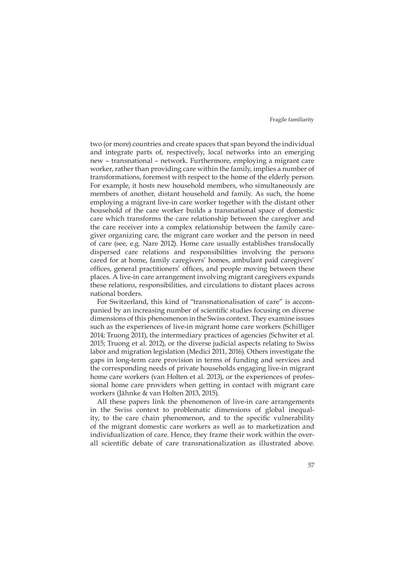two (or more) countries and create spaces that span beyond the individual and integrate parts of, respectively, local networks into an emerging new – transnational – network. Furthermore, employing a migrant care worker, rather than providing care within the family, implies a number of transformations, foremost with respect to the home of the elderly person. For example, it hosts new household members, who simultaneously are members of another, distant household and family. As such, the home employing a migrant live-in care worker together with the distant other household of the care worker builds a transnational space of domestic care which transforms the care relationship between the caregiver and the care receiver into a complex relationship between the family caregiver organizing care, the migrant care worker and the person in need of care (see, e.g. Nare 2012). Home care usually establishes translocally dispersed care relations and responsibilities involving the persons cared for at home, family caregivers' homes, ambulant paid caregivers' offices, general practitioners' offices, and people moving between these places. A live-in care arrangement involving migrant caregivers expands these relations, responsibilities, and circulations to distant places across national borders.

For Switzerland, this kind of "transnationalisation of care" is accompanied by an increasing number of scientific studies focusing on diverse dimensions of this phenomenon in the Swiss context. They examine issues such as the experiences of live-in migrant home care workers (Schilliger 2014; Truong 2011), the intermediary practices of agencies (Schwiter et al. 2015; Truong et al. 2012), or the diverse judicial aspects relating to Swiss labor and migration legislation (Medici 2011, 2016). Others investigate the gaps in long-term care provision in terms of funding and services and the corresponding needs of private households engaging live-in migrant home care workers (van Holten et al. 2013), or the experiences of professional home care providers when getting in contact with migrant care workers (Jähnke & van Holten 2013, 2015).

All these papers link the phenomenon of live-in care arrangements in the Swiss context to problematic dimensions of global inequality, to the care chain phenomenon, and to the specific vulnerability of the migrant domestic care workers as well as to marketization and individualization of care. Hence, they frame their work within the overall scientific debate of care transnationalization as illustrated above.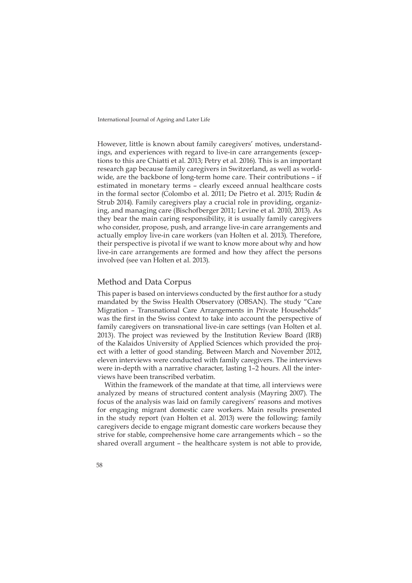However, little is known about family caregivers' motives, understandings, and experiences with regard to live-in care arrangements (exceptions to this are Chiatti et al. 2013; Petry et al. 2016). This is an important research gap because family caregivers in Switzerland, as well as worldwide, are the backbone of long-term home care. Their contributions – if estimated in monetary terms – clearly exceed annual healthcare costs in the formal sector (Colombo et al. 2011; De Pietro et al. 2015; Rudin & Strub 2014). Family caregivers play a crucial role in providing, organizing, and managing care (Bischofberger 2011; Levine et al. 2010, 2013). As they bear the main caring responsibility, it is usually family caregivers who consider, propose, push, and arrange live-in care arrangements and actually employ live-in care workers (van Holten et al. 2013). Therefore, their perspective is pivotal if we want to know more about why and how live-in care arrangements are formed and how they affect the persons involved (see van Holten et al. 2013).

### Method and Data Corpus

This paper is based on interviews conducted by the first author for a study mandated by the Swiss Health Observatory (OBSAN). The study "Care Migration – Transnational Care Arrangements in Private Households" was the first in the Swiss context to take into account the perspective of family caregivers on transnational live-in care settings (van Holten et al. 2013). The project was reviewed by the Institution Review Board (IRB) of the Kalaidos University of Applied Sciences which provided the project with a letter of good standing. Between March and November 2012, eleven interviews were conducted with family caregivers. The interviews were in-depth with a narrative character, lasting 1–2 hours. All the interviews have been transcribed verbatim.

Within the framework of the mandate at that time, all interviews were analyzed by means of structured content analysis (Mayring 2007). The focus of the analysis was laid on family caregivers' reasons and motives for engaging migrant domestic care workers. Main results presented in the study report (van Holten et al. 2013) were the following: family caregivers decide to engage migrant domestic care workers because they strive for stable, comprehensive home care arrangements which – so the shared overall argument – the healthcare system is not able to provide,

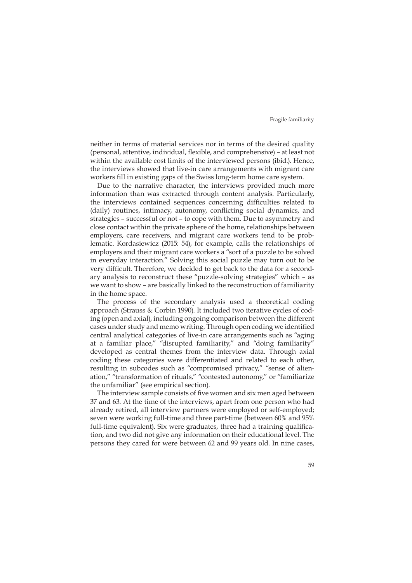neither in terms of material services nor in terms of the desired quality (personal, attentive, individual, flexible, and comprehensive) – at least not within the available cost limits of the interviewed persons (ibid.). Hence, the interviews showed that live-in care arrangements with migrant care workers fill in existing gaps of the Swiss long-term home care system.

Due to the narrative character, the interviews provided much more information than was extracted through content analysis. Particularly, the interviews contained sequences concerning difficulties related to (daily) routines, intimacy, autonomy, conflicting social dynamics, and strategies – successful or not – to cope with them. Due to asymmetry and close contact within the private sphere of the home, relationships between employers, care receivers, and migrant care workers tend to be problematic. Kordasiewicz (2015: 54), for example, calls the relationships of employers and their migrant care workers a "sort of a puzzle to be solved in everyday interaction." Solving this social puzzle may turn out to be very difficult. Therefore, we decided to get back to the data for a secondary analysis to reconstruct these "puzzle-solving strategies" which – as we want to show – are basically linked to the reconstruction of familiarity in the home space.

The process of the secondary analysis used a theoretical coding approach (Strauss & Corbin 1990). It included two iterative cycles of coding (open and axial), including ongoing comparison between the different cases under study and memo writing. Through open coding we identified central analytical categories of live-in care arrangements such as "aging at a familiar place," "disrupted familiarity," and "doing familiarity" developed as central themes from the interview data. Through axial coding these categories were differentiated and related to each other, resulting in subcodes such as "compromised privacy," "sense of alienation," "transformation of rituals," "contested autonomy," or "familiarize the unfamiliar" (see empirical section).

The interview sample consists of five women and six men aged between 37 and 63. At the time of the interviews, apart from one person who had already retired, all interview partners were employed or self-employed; seven were working full-time and three part-time (between 60% and 95% full-time equivalent). Six were graduates, three had a training qualification, and two did not give any information on their educational level. The persons they cared for were between 62 and 99 years old. In nine cases,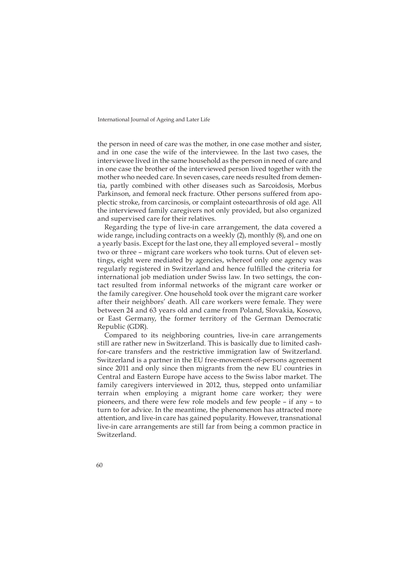the person in need of care was the mother, in one case mother and sister, and in one case the wife of the interviewee. In the last two cases, the interviewee lived in the same household as the person in need of care and in one case the brother of the interviewed person lived together with the mother who needed care. In seven cases, care needs resulted from dementia, partly combined with other diseases such as Sarcoidosis, Morbus Parkinson, and femoral neck fracture. Other persons suffered from apoplectic stroke, from carcinosis, or complaint osteoarthrosis of old age. All the interviewed family caregivers not only provided, but also organized and supervised care for their relatives.

Regarding the type of live-in care arrangement, the data covered a wide range, including contracts on a weekly (2), monthly (8), and one on a yearly basis. Except for the last one, they all employed several – mostly two or three – migrant care workers who took turns. Out of eleven settings, eight were mediated by agencies, whereof only one agency was regularly registered in Switzerland and hence fulfilled the criteria for international job mediation under Swiss law. In two settings, the contact resulted from informal networks of the migrant care worker or the family caregiver. One household took over the migrant care worker after their neighbors' death. All care workers were female. They were between 24 and 63 years old and came from Poland, Slovakia, Kosovo, or East Germany, the former territory of the German Democratic Republic (GDR).

Compared to its neighboring countries, live-in care arrangements still are rather new in Switzerland. This is basically due to limited cashfor-care transfers and the restrictive immigration law of Switzerland. Switzerland is a partner in the EU free-movement-of-persons agreement since 2011 and only since then migrants from the new EU countries in Central and Eastern Europe have access to the Swiss labor market. The family caregivers interviewed in 2012, thus, stepped onto unfamiliar terrain when employing a migrant home care worker; they were pioneers, and there were few role models and few people – if any – to turn to for advice. In the meantime, the phenomenon has attracted more attention, and live-in care has gained popularity. However, transnational live-in care arrangements are still far from being a common practice in Switzerland.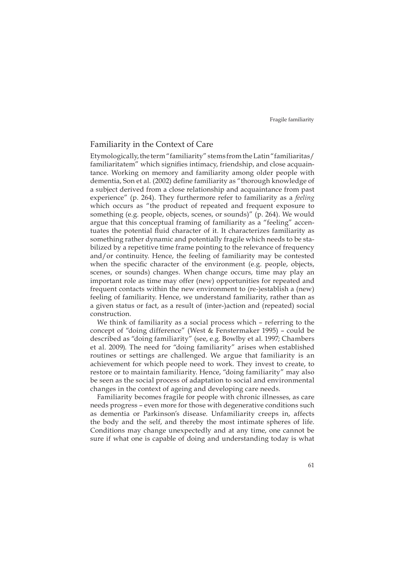### Familiarity in the Context of Care

Etymologically, the term "familiarity" stems from the Latin "familiaritas/ familiaritatem" which signifies intimacy, friendship, and close acquaintance. Working on memory and familiarity among older people with dementia, Son et al. (2002) define familiarity as "thorough knowledge of a subject derived from a close relationship and acquaintance from past experience" (p. 264). They furthermore refer to familiarity as a *feeling*  which occurs as "the product of repeated and frequent exposure to something (e.g. people, objects, scenes, or sounds)" (p. 264). We would argue that this conceptual framing of familiarity as a "feeling" accentuates the potential fluid character of it. It characterizes familiarity as something rather dynamic and potentially fragile which needs to be stabilized by a repetitive time frame pointing to the relevance of frequency and/or continuity. Hence, the feeling of familiarity may be contested when the specific character of the environment (e.g. people, objects, scenes, or sounds) changes. When change occurs, time may play an important role as time may offer (new) opportunities for repeated and frequent contacts within the new environment to (re-)establish a (new) feeling of familiarity. Hence, we understand familiarity, rather than as a given status or fact, as a result of (inter-)action and (repeated) social construction.

We think of familiarity as a social process which – referring to the concept of "doing difference" (West & Fenstermaker 1995) – could be described as "doing familiarity" (see, e.g. Bowlby et al. 1997; Chambers et al. 2009). The need for "doing familiarity" arises when established routines or settings are challenged. We argue that familiarity is an achievement for which people need to work. They invest to create, to restore or to maintain familiarity. Hence, "doing familiarity" may also be seen as the social process of adaptation to social and environmental changes in the context of ageing and developing care needs.

Familiarity becomes fragile for people with chronic illnesses, as care needs progress – even more for those with degenerative conditions such as dementia or Parkinson's disease. Unfamiliarity creeps in, affects the body and the self, and thereby the most intimate spheres of life. Conditions may change unexpectedly and at any time, one cannot be sure if what one is capable of doing and understanding today is what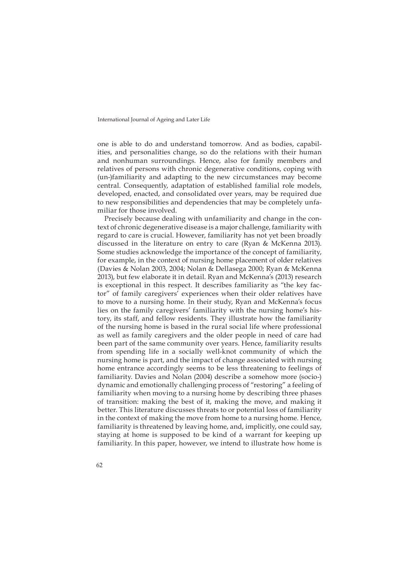one is able to do and understand tomorrow. And as bodies, capabilities, and personalities change, so do the relations with their human and nonhuman surroundings. Hence, also for family members and relatives of persons with chronic degenerative conditions, coping with (un-)familiarity and adapting to the new circumstances may become central. Consequently, adaptation of established familial role models, developed, enacted, and consolidated over years, may be required due to new responsibilities and dependencies that may be completely unfamiliar for those involved.

Precisely because dealing with unfamiliarity and change in the context of chronic degenerative disease is a major challenge, familiarity with regard to care is crucial. However, familiarity has not yet been broadly discussed in the literature on entry to care (Ryan & McKenna 2013). Some studies acknowledge the importance of the concept of familiarity, for example, in the context of nursing home placement of older relatives (Davies & Nolan 2003, 2004; Nolan & Dellasega 2000; Ryan & McKenna 2013), but few elaborate it in detail. Ryan and McKenna's (2013) research is exceptional in this respect. It describes familiarity as "the key factor" of family caregivers' experiences when their older relatives have to move to a nursing home. In their study, Ryan and McKenna's focus lies on the family caregivers' familiarity with the nursing home's history, its staff, and fellow residents. They illustrate how the familiarity of the nursing home is based in the rural social life where professional as well as family caregivers and the older people in need of care had been part of the same community over years. Hence, familiarity results from spending life in a socially well-knot community of which the nursing home is part, and the impact of change associated with nursing home entrance accordingly seems to be less threatening to feelings of familiarity. Davies and Nolan (2004) describe a somehow more (socio-) dynamic and emotionally challenging process of "restoring" a feeling of familiarity when moving to a nursing home by describing three phases of transition: making the best of it, making the move, and making it better. This literature discusses threats to or potential loss of familiarity in the context of making the move from home to a nursing home. Hence, familiarity is threatened by leaving home, and, implicitly, one could say, staying at home is supposed to be kind of a warrant for keeping up familiarity. In this paper, however, we intend to illustrate how home is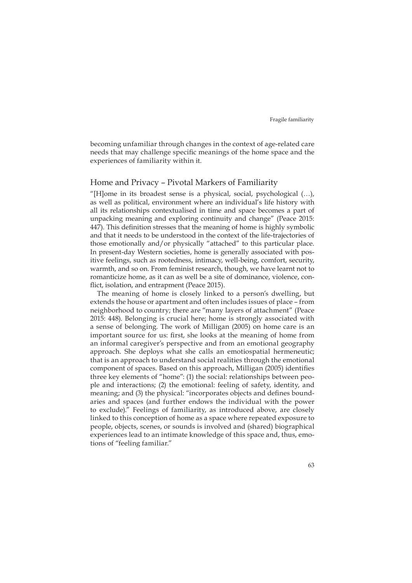becoming unfamiliar through changes in the context of age-related care needs that may challenge specific meanings of the home space and the experiences of familiarity within it.

### Home and Privacy – Pivotal Markers of Familiarity

"[H]ome in its broadest sense is a physical, social, psychological (…), as well as political, environment where an individual's life history with all its relationships contextualised in time and space becomes a part of unpacking meaning and exploring continuity and change" (Peace 2015: 447). This definition stresses that the meaning of home is highly symbolic and that it needs to be understood in the context of the life-trajectories of those emotionally and/or physically "attached" to this particular place. In present-day Western societies, home is generally associated with positive feelings, such as rootedness, intimacy, well-being, comfort, security, warmth, and so on. From feminist research, though, we have learnt not to romanticize home, as it can as well be a site of dominance, violence, conflict, isolation, and entrapment (Peace 2015).

The meaning of home is closely linked to a person's dwelling, but extends the house or apartment and often includes issues of place – from neighborhood to country; there are "many layers of attachment" (Peace 2015: 448). Belonging is crucial here; home is strongly associated with a sense of belonging. The work of Milligan (2005) on home care is an important source for us: first, she looks at the meaning of home from an informal caregiver's perspective and from an emotional geography approach. She deploys what she calls an emotiospatial hermeneutic; that is an approach to understand social realities through the emotional component of spaces. Based on this approach, Milligan (2005) identifies three key elements of "home": (1) the social: relationships between people and interactions; (2) the emotional: feeling of safety, identity, and meaning; and (3) the physical: "incorporates objects and defines boundaries and spaces (and further endows the individual with the power to exclude)." Feelings of familiarity, as introduced above, are closely linked to this conception of home as a space where repeated exposure to people, objects, scenes, or sounds is involved and (shared) biographical experiences lead to an intimate knowledge of this space and, thus, emotions of "feeling familiar."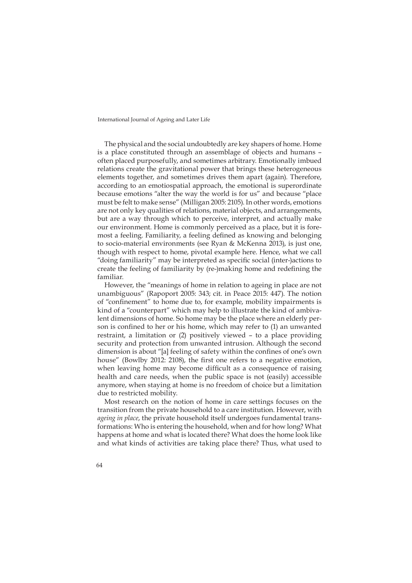The physical and the social undoubtedly are key shapers of home. Home is a place constituted through an assemblage of objects and humans – often placed purposefully, and sometimes arbitrary. Emotionally imbued relations create the gravitational power that brings these heterogeneous elements together, and sometimes drives them apart (again). Therefore, according to an emotiospatial approach, the emotional is superordinate because emotions "alter the way the world is for us" and because "place must be felt to make sense" (Milligan 2005: 2105). In other words, emotions are not only key qualities of relations, material objects, and arrangements, but are a way through which to perceive, interpret, and actually make our environment. Home is commonly perceived as a place, but it is foremost a feeling. Familiarity, a feeling defined as knowing and belonging to socio-material environments (see Ryan & McKenna 2013), is just one, though with respect to home, pivotal example here. Hence, what we call "doing familiarity" may be interpreted as specific social (inter-)actions to create the feeling of familiarity by (re-)making home and redefining the familiar.

However, the "meanings of home in relation to ageing in place are not unambiguous" (Rapoport 2005: 343; cit. in Peace 2015: 447). The notion of "confinement" to home due to, for example, mobility impairments is kind of a "counterpart" which may help to illustrate the kind of ambivalent dimensions of home. So home may be the place where an elderly person is confined to her or his home, which may refer to (1) an unwanted restraint, a limitation or (2) positively viewed – to a place providing security and protection from unwanted intrusion. Although the second dimension is about "[a] feeling of safety within the confines of one's own house" (Bowlby 2012: 2108), the first one refers to a negative emotion, when leaving home may become difficult as a consequence of raising health and care needs, when the public space is not (easily) accessible anymore, when staying at home is no freedom of choice but a limitation due to restricted mobility.

Most research on the notion of home in care settings focuses on the transition from the private household to a care institution. However, with *ageing in place*, the private household itself undergoes fundamental transformations: Who is entering the household, when and for how long? What happens at home and what is located there? What does the home look like and what kinds of activities are taking place there? Thus, what used to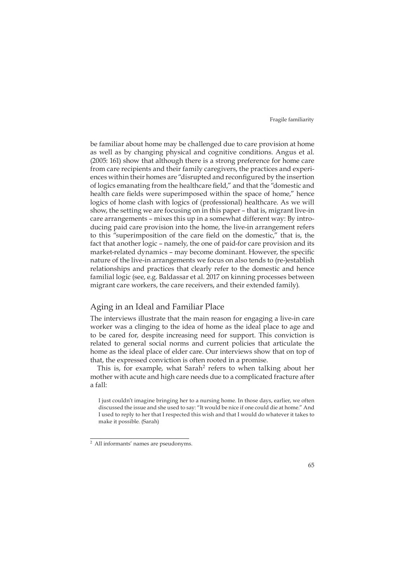be familiar about home may be challenged due to care provision at home as well as by changing physical and cognitive conditions. Angus et al. (2005: 161) show that although there is a strong preference for home care from care recipients and their family caregivers, the practices and experiences within their homes are "disrupted and reconfigured by the insertion of logics emanating from the healthcare field," and that the "domestic and health care fields were superimposed within the space of home," hence logics of home clash with logics of (professional) healthcare. As we will show, the setting we are focusing on in this paper – that is, migrant live-in care arrangements – mixes this up in a somewhat different way: By introducing paid care provision into the home, the live-in arrangement refers to this "superimposition of the care field on the domestic," that is, the fact that another logic – namely, the one of paid-for care provision and its market-related dynamics – may become dominant. However, the specific nature of the live-in arrangements we focus on also tends to (re-)establish relationships and practices that clearly refer to the domestic and hence familial logic (see, e.g. Baldassar et al. 2017 on kinning processes between migrant care workers, the care receivers, and their extended family).

# Aging in an Ideal and Familiar Place

The interviews illustrate that the main reason for engaging a live-in care worker was a clinging to the idea of home as the ideal place to age and to be cared for, despite increasing need for support. This conviction is related to general social norms and current policies that articulate the home as the ideal place of elder care. Our interviews show that on top of that, the expressed conviction is often rooted in a promise.

This is, for example, what Sarah<sup>2</sup> refers to when talking about her mother with acute and high care needs due to a complicated fracture after a fall:

I just couldn't imagine bringing her to a nursing home. In those days, earlier, we often discussed the issue and she used to say: "It would be nice if one could die at home." And I used to reply to her that I respected this wish and that I would do whatever it takes to make it possible. (Sarah)

<sup>2</sup> All informants' names are pseudonyms.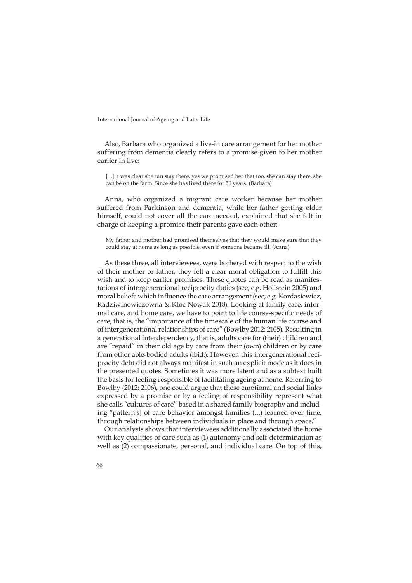Also, Barbara who organized a live-in care arrangement for her mother suffering from dementia clearly refers to a promise given to her mother earlier in live:

[...] it was clear she can stay there, yes we promised her that too, she can stay there, she can be on the farm. Since she has lived there for 50 years. (Barbara)

Anna, who organized a migrant care worker because her mother suffered from Parkinson and dementia, while her father getting older himself, could not cover all the care needed, explained that she felt in charge of keeping a promise their parents gave each other:

My father and mother had promised themselves that they would make sure that they could stay at home as long as possible, even if someone became ill. (Anna)

As these three, all interviewees, were bothered with respect to the wish of their mother or father, they felt a clear moral obligation to fulfill this wish and to keep earlier promises. These quotes can be read as manifestations of intergenerational reciprocity duties (see, e.g. Hollstein 2005) and moral beliefs which influence the care arrangement (see, e.g. Kordasiewicz, Radziwinowiczowna & Kloc-Nowak 2018). Looking at family care, informal care, and home care, we have to point to life course-specific needs of care, that is, the "importance of the timescale of the human life course and of intergenerational relationships of care" (Bowlby 2012: 2105). Resulting in a generational interdependency, that is, adults care for (their) children and are "repaid" in their old age by care from their (own) children or by care from other able-bodied adults (ibid.). However, this intergenerational reciprocity debt did not always manifest in such an explicit mode as it does in the presented quotes. Sometimes it was more latent and as a subtext built the basis for feeling responsible of facilitating ageing at home. Referring to Bowlby (2012: 2106), one could argue that these emotional and social links expressed by a promise or by a feeling of responsibility represent what she calls "cultures of care" based in a shared family biography and including "pattern[s] of care behavior amongst families (…) learned over time, through relationships between individuals in place and through space."

Our analysis shows that interviewees additionally associated the home with key qualities of care such as (1) autonomy and self-determination as well as (2) compassionate, personal, and individual care. On top of this,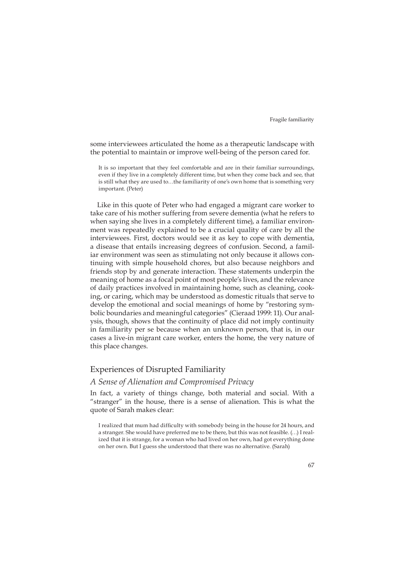some interviewees articulated the home as a therapeutic landscape with the potential to maintain or improve well-being of the person cared for.

It is so important that they feel comfortable and are in their familiar surroundings, even if they live in a completely different time, but when they come back and see, that is still what they are used to…the familiarity of one's own home that is something very important. (Peter)

Like in this quote of Peter who had engaged a migrant care worker to take care of his mother suffering from severe dementia (what he refers to when saying she lives in a completely different time), a familiar environment was repeatedly explained to be a crucial quality of care by all the interviewees. First, doctors would see it as key to cope with dementia, a disease that entails increasing degrees of confusion. Second, a familiar environment was seen as stimulating not only because it allows continuing with simple household chores, but also because neighbors and friends stop by and generate interaction. These statements underpin the meaning of home as a focal point of most people's lives, and the relevance of daily practices involved in maintaining home, such as cleaning, cooking, or caring, which may be understood as domestic rituals that serve to develop the emotional and social meanings of home by "restoring symbolic boundaries and meaningful categories" (Cieraad 1999: 11). Our analysis, though, shows that the continuity of place did not imply continuity in familiarity per se because when an unknown person, that is, in our cases a live-in migrant care worker, enters the home, the very nature of this place changes.

# Experiences of Disrupted Familiarity

# *A Sense of Alienation and Compromised Privacy*

In fact, a variety of things change, both material and social. With a "stranger" in the house, there is a sense of alienation. This is what the quote of Sarah makes clear:

I realized that mum had difficulty with somebody being in the house for 24 hours, and a stranger. She would have preferred me to be there, but this was not feasible. (…) I realized that it is strange, for a woman who had lived on her own, had got everything done on her own. But I guess she understood that there was no alternative. (Sarah)

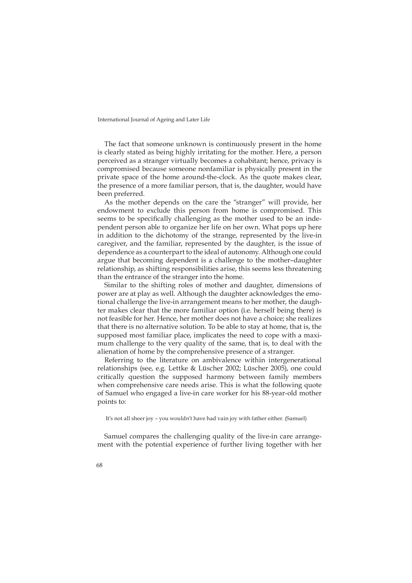The fact that someone unknown is continuously present in the home is clearly stated as being highly irritating for the mother. Here, a person perceived as a stranger virtually becomes a cohabitant; hence, privacy is compromised because someone nonfamiliar is physically present in the private space of the home around-the-clock. As the quote makes clear, the presence of a more familiar person, that is, the daughter, would have been preferred.

As the mother depends on the care the "stranger" will provide, her endowment to exclude this person from home is compromised. This seems to be specifically challenging as the mother used to be an independent person able to organize her life on her own. What pops up here in addition to the dichotomy of the strange, represented by the live-in caregiver, and the familiar, represented by the daughter, is the issue of dependence as a counterpart to the ideal of autonomy. Although one could argue that becoming dependent is a challenge to the mother–daughter relationship, as shifting responsibilities arise, this seems less threatening than the entrance of the stranger into the home.

Similar to the shifting roles of mother and daughter, dimensions of power are at play as well. Although the daughter acknowledges the emotional challenge the live-in arrangement means to her mother, the daughter makes clear that the more familiar option (i.e. herself being there) is not feasible for her. Hence, her mother does not have a choice; she realizes that there is no alternative solution. To be able to stay at home, that is, the supposed most familiar place, implicates the need to cope with a maximum challenge to the very quality of the same, that is, to deal with the alienation of home by the comprehensive presence of a stranger.

Referring to the literature on ambivalence within intergenerational relationships (see, e.g. Lettke & Lüscher 2002; Lüscher 2005), one could critically question the supposed harmony between family members when comprehensive care needs arise. This is what the following quote of Samuel who engaged a live-in care worker for his 88-year-old mother points to:

It's not all sheer joy – you wouldn't have had vain joy with father either. (Samuel)

Samuel compares the challenging quality of the live-in care arrangement with the potential experience of further living together with her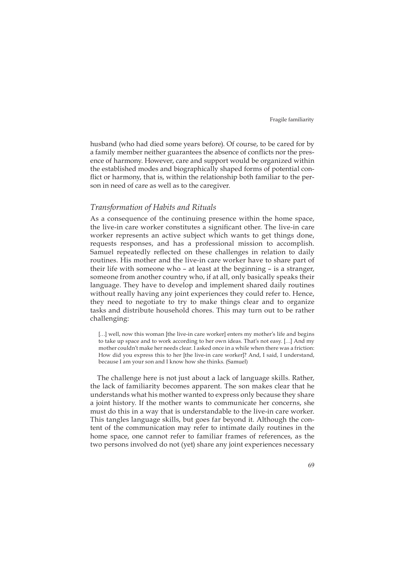husband (who had died some years before). Of course, to be cared for by a family member neither guarantees the absence of conflicts nor the presence of harmony. However, care and support would be organized within the established modes and biographically shaped forms of potential conflict or harmony, that is, within the relationship both familiar to the person in need of care as well as to the caregiver.

# *Transformation of Habits and Rituals*

As a consequence of the continuing presence within the home space, the live-in care worker constitutes a significant other. The live-in care worker represents an active subject which wants to get things done, requests responses, and has a professional mission to accomplish. Samuel repeatedly reflected on these challenges in relation to daily routines. His mother and the live-in care worker have to share part of their life with someone who – at least at the beginning – is a stranger, someone from another country who, if at all, only basically speaks their language. They have to develop and implement shared daily routines without really having any joint experiences they could refer to. Hence, they need to negotiate to try to make things clear and to organize tasks and distribute household chores. This may turn out to be rather challenging:

[...] well, now this woman [the live-in care worker] enters my mother's life and begins to take up space and to work according to her own ideas. That's not easy. […] And my mother couldn't make her needs clear. I asked once in a while when there was a friction: How did you express this to her [the live-in care worker]? And, I said, I understand, because I am your son and I know how she thinks. (Samuel)

The challenge here is not just about a lack of language skills. Rather, the lack of familiarity becomes apparent. The son makes clear that he understands what his mother wanted to express only because they share a joint history. If the mother wants to communicate her concerns, she must do this in a way that is understandable to the live-in care worker. This tangles language skills, but goes far beyond it. Although the content of the communication may refer to intimate daily routines in the home space, one cannot refer to familiar frames of references, as the two persons involved do not (yet) share any joint experiences necessary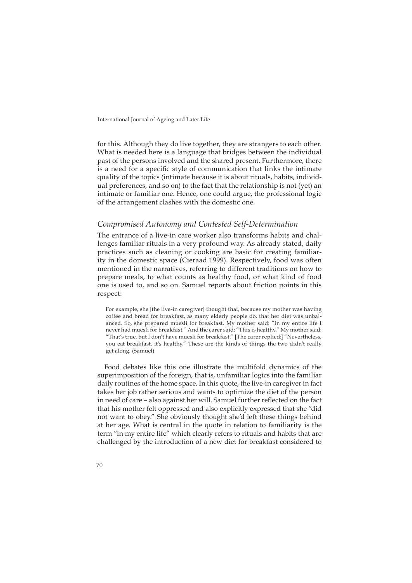for this. Although they do live together, they are strangers to each other. What is needed here is a language that bridges between the individual past of the persons involved and the shared present. Furthermore, there is a need for a specific style of communication that links the intimate quality of the topics (intimate because it is about rituals, habits, individual preferences, and so on) to the fact that the relationship is not (yet) an intimate or familiar one. Hence, one could argue, the professional logic of the arrangement clashes with the domestic one.

### *Compromised Autonomy and Contested Self-Determination*

The entrance of a live-in care worker also transforms habits and challenges familiar rituals in a very profound way. As already stated, daily practices such as cleaning or cooking are basic for creating familiarity in the domestic space (Cieraad 1999). Respectively, food was often mentioned in the narratives, referring to different traditions on how to prepare meals, to what counts as healthy food, or what kind of food one is used to, and so on. Samuel reports about friction points in this respect:

For example, she [the live-in caregiver] thought that, because my mother was having coffee and bread for breakfast, as many elderly people do, that her diet was unbalanced. So, she prepared muesli for breakfast. My mother said: "In my entire life I never had muesli for breakfast." And the carer said: "This is healthy." My mother said: "That's true, but I don't have muesli for breakfast." [The carer replied:] "Nevertheless, you eat breakfast, it's healthy." These are the kinds of things the two didn't really get along. (Samuel)

Food debates like this one illustrate the multifold dynamics of the superimposition of the foreign, that is, unfamiliar logics into the familiar daily routines of the home space. In this quote, the live-in caregiver in fact takes her job rather serious and wants to optimize the diet of the person in need of care – also against her will. Samuel further reflected on the fact that his mother felt oppressed and also explicitly expressed that she "did not want to obey." She obviously thought she'd left these things behind at her age. What is central in the quote in relation to familiarity is the term "in my entire life" which clearly refers to rituals and habits that are challenged by the introduction of a new diet for breakfast considered to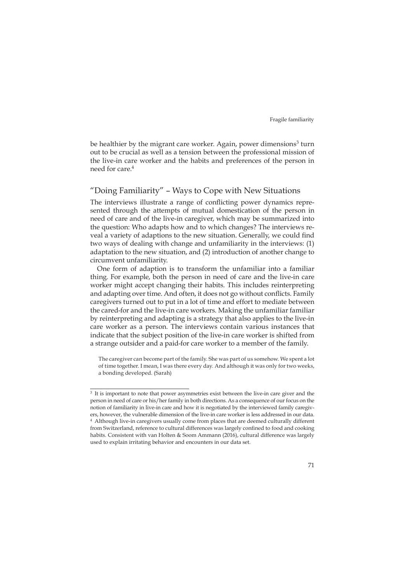be healthier by the migrant care worker. Again, power dimensions<sup>3</sup> turn out to be crucial as well as a tension between the professional mission of the live-in care worker and the habits and preferences of the person in need for care.4

# "Doing Familiarity" – Ways to Cope with New Situations

The interviews illustrate a range of conflicting power dynamics represented through the attempts of mutual domestication of the person in need of care and of the live-in caregiver, which may be summarized into the question: Who adapts how and to which changes? The interviews reveal a variety of adaptions to the new situation. Generally, we could find two ways of dealing with change and unfamiliarity in the interviews: (1) adaptation to the new situation, and (2) introduction of another change to circumvent unfamiliarity.

One form of adaption is to transform the unfamiliar into a familiar thing. For example, both the person in need of care and the live-in care worker might accept changing their habits. This includes reinterpreting and adapting over time. And often, it does not go without conflicts. Family caregivers turned out to put in a lot of time and effort to mediate between the cared-for and the live-in care workers. Making the unfamiliar familiar by reinterpreting and adapting is a strategy that also applies to the live-in care worker as a person. The interviews contain various instances that indicate that the subject position of the live-in care worker is shifted from a strange outsider and a paid-for care worker to a member of the family.

The caregiver can become part of the family. She was part of us somehow. We spent a lot of time together. I mean, I was there every day. And although it was only for two weeks, a bonding developed. (Sarah)

<sup>3</sup> It is important to note that power asymmetries exist between the live-in care giver and the person in need of care or his/her family in both directions. As a consequence of our focus on the notion of familiarity in live-in care and how it is negotiated by the interviewed family caregivers, however, the vulnerable dimension of the live-in care worker is less addressed in our data. <sup>4</sup> Although live-in caregivers usually come from places that are deemed culturally different from Switzerland, reference to cultural differences was largely confined to food and cooking habits. Consistent with van Holten & Soom Ammann (2016), cultural difference was largely used to explain irritating behavior and encounters in our data set.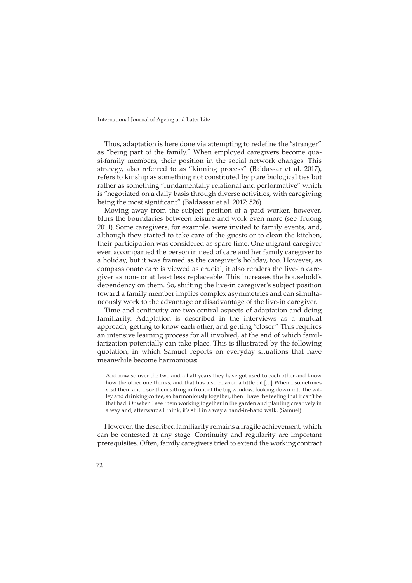Thus, adaptation is here done via attempting to redefine the "stranger" as "being part of the family." When employed caregivers become quasi-family members, their position in the social network changes. This strategy, also referred to as "kinning process" (Baldassar et al. 2017), refers to kinship as something not constituted by pure biological ties but rather as something "fundamentally relational and performative" which is "negotiated on a daily basis through diverse activities, with caregiving being the most significant" (Baldassar et al. 2017: 526).

Moving away from the subject position of a paid worker, however, blurs the boundaries between leisure and work even more (see Truong 2011). Some caregivers, for example, were invited to family events, and, although they started to take care of the guests or to clean the kitchen, their participation was considered as spare time. One migrant caregiver even accompanied the person in need of care and her family caregiver to a holiday, but it was framed as the caregiver's holiday, too. However, as compassionate care is viewed as crucial, it also renders the live-in caregiver as non- or at least less replaceable. This increases the household's dependency on them. So, shifting the live-in caregiver's subject position toward a family member implies complex asymmetries and can simultaneously work to the advantage or disadvantage of the live-in caregiver.

Time and continuity are two central aspects of adaptation and doing familiarity. Adaptation is described in the interviews as a mutual approach, getting to know each other, and getting "closer." This requires an intensive learning process for all involved, at the end of which familiarization potentially can take place. This is illustrated by the following quotation, in which Samuel reports on everyday situations that have meanwhile become harmonious:

And now so over the two and a half years they have got used to each other and know how the other one thinks, and that has also relaxed a little bit.[…] When I sometimes visit them and I see them sitting in front of the big window, looking down into the valley and drinking coffee, so harmoniously together, then I have the feeling that it can't be that bad. Or when I see them working together in the garden and planting creatively in a way and, afterwards I think, it's still in a way a hand-in-hand walk. (Samuel)

However, the described familiarity remains a fragile achievement, which can be contested at any stage. Continuity and regularity are important prerequisites. Often, family caregivers tried to extend the working contract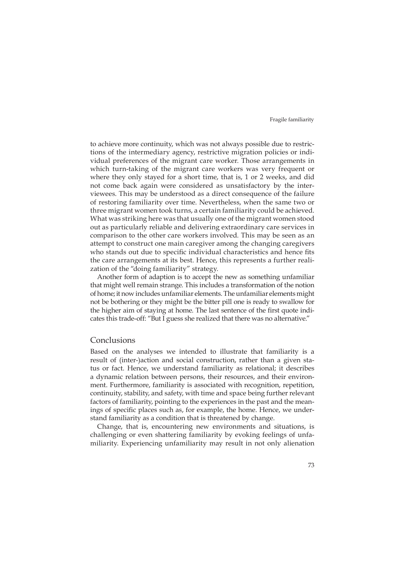to achieve more continuity, which was not always possible due to restrictions of the intermediary agency, restrictive migration policies or individual preferences of the migrant care worker. Those arrangements in which turn-taking of the migrant care workers was very frequent or where they only stayed for a short time, that is, 1 or 2 weeks, and did not come back again were considered as unsatisfactory by the interviewees. This may be understood as a direct consequence of the failure of restoring familiarity over time. Nevertheless, when the same two or three migrant women took turns, a certain familiarity could be achieved. What was striking here was that usually one of the migrant women stood out as particularly reliable and delivering extraordinary care services in comparison to the other care workers involved. This may be seen as an attempt to construct one main caregiver among the changing caregivers who stands out due to specific individual characteristics and hence fits the care arrangements at its best. Hence, this represents a further realization of the "doing familiarity" strategy.

Another form of adaption is to accept the new as something unfamiliar that might well remain strange. This includes a transformation of the notion of home; it now includes unfamiliar elements. The unfamiliar elements might not be bothering or they might be the bitter pill one is ready to swallow for the higher aim of staying at home. The last sentence of the first quote indicates this trade-off: "But I guess she realized that there was no alternative."

#### Conclusions

Based on the analyses we intended to illustrate that familiarity is a result of (inter-)action and social construction, rather than a given status or fact. Hence, we understand familiarity as relational; it describes a dynamic relation between persons, their resources, and their environment. Furthermore, familiarity is associated with recognition, repetition, continuity, stability, and safety, with time and space being further relevant factors of familiarity, pointing to the experiences in the past and the meanings of specific places such as, for example, the home. Hence, we understand familiarity as a condition that is threatened by change.

Change, that is, encountering new environments and situations, is challenging or even shattering familiarity by evoking feelings of unfamiliarity. Experiencing unfamiliarity may result in not only alienation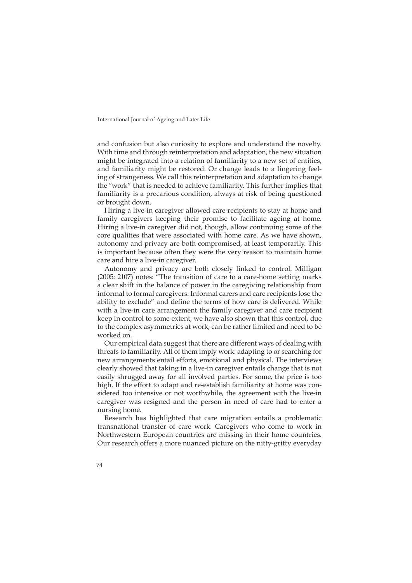and confusion but also curiosity to explore and understand the novelty. With time and through reinterpretation and adaptation, the new situation might be integrated into a relation of familiarity to a new set of entities, and familiarity might be restored. Or change leads to a lingering feeling of strangeness. We call this reinterpretation and adaptation to change the "work" that is needed to achieve familiarity. This further implies that familiarity is a precarious condition, always at risk of being questioned or brought down.

Hiring a live-in caregiver allowed care recipients to stay at home and family caregivers keeping their promise to facilitate ageing at home. Hiring a live-in caregiver did not, though, allow continuing some of the core qualities that were associated with home care. As we have shown, autonomy and privacy are both compromised, at least temporarily. This is important because often they were the very reason to maintain home care and hire a live-in caregiver.

Autonomy and privacy are both closely linked to control. Milligan (2005: 2107) notes: "The transition of care to a care-home setting marks a clear shift in the balance of power in the caregiving relationship from informal to formal caregivers. Informal carers and care recipients lose the ability to exclude" and define the terms of how care is delivered. While with a live-in care arrangement the family caregiver and care recipient keep in control to some extent, we have also shown that this control, due to the complex asymmetries at work, can be rather limited and need to be worked on.

Our empirical data suggest that there are different ways of dealing with threats to familiarity. All of them imply work: adapting to or searching for new arrangements entail efforts, emotional and physical. The interviews clearly showed that taking in a live-in caregiver entails change that is not easily shrugged away for all involved parties. For some, the price is too high. If the effort to adapt and re-establish familiarity at home was considered too intensive or not worthwhile, the agreement with the live-in caregiver was resigned and the person in need of care had to enter a nursing home.

Research has highlighted that care migration entails a problematic transnational transfer of care work. Caregivers who come to work in Northwestern European countries are missing in their home countries. Our research offers a more nuanced picture on the nitty-gritty everyday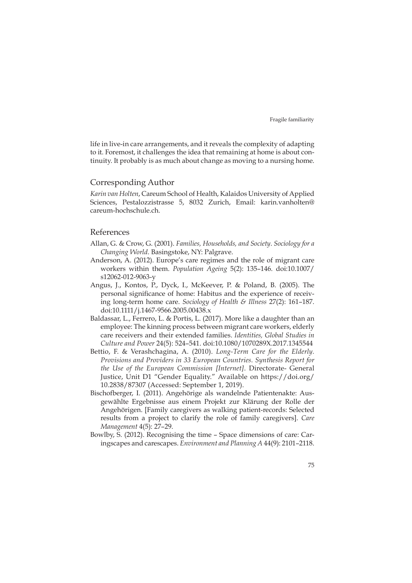life in live-in care arrangements, and it reveals the complexity of adapting to it. Foremost, it challenges the idea that remaining at home is about continuity. It probably is as much about change as moving to a nursing home.

### Corresponding Author

*Karin van Holten*, Careum School of Health, Kalaidos University of Applied Sciences, Pestalozzistrasse 5, 8032 Zurich, Email: [karin.vanholten@](mailto:karin.vanholten@careum-hochschule.ch) [careum-hochschule.ch](mailto:karin.vanholten@careum-hochschule.ch).

### References

- Allan, G. & Crow, G. (2001). *Families, Households, and Society*. *Sociology for a Changing World*. Basingstoke, NY: Palgrave.
- Anderson, A. (2012). Europe's care regimes and the role of migrant care workers within them. *Population Ageing* 5(2): 135–146. doi:10.1007/ s12062-012-9063-y
- Angus, J., Kontos, P., Dyck, I., McKeever, P. & Poland, B. (2005). The personal significance of home: Habitus and the experience of receiving long-term home care. *Sociology of Health & Illness* 27(2): 161–187. doi:10.1111/j.1467-9566.2005.00438.x
- Baldassar, L., Ferrero, L. & Portis, L. (2017). More like a daughter than an employee: The kinning process between migrant care workers, elderly care receivers and their extended families. *Identities, Global Studies in Culture and Power* 24(5): 524–541. doi:10.1080/1070289X.2017.1345544
- Bettio, F. & Verashchagina, A. (2010). *Long-Term Care for the Elderly. Provisions and Providers in 33 European Countries. Synthesis Report for the Use of the European Commission [Internet]*. Directorate- General Justice, Unit D1 "Gender Equality." Available on [https://doi.org/](https://doi.org/​10.2838/87307) [10.2838/87307](https://doi.org/​10.2838/87307) (Accessed: September 1, 2019).
- Bischofberger, I. (2011). Angehörige als wandelnde Patientenakte: Ausgewählte Ergebnisse aus einem Projekt zur Klärung der Rolle der Angehörigen. [Family caregivers as walking patient-records: Selected results from a project to clarify the role of family caregivers]. *Care Management* 4(5): 27–29.
- Bowlby, S. (2012). Recognising the time Space dimensions of care: Caringscapes and carescapes. *Environment and Planning A* 44(9): 2101–2118.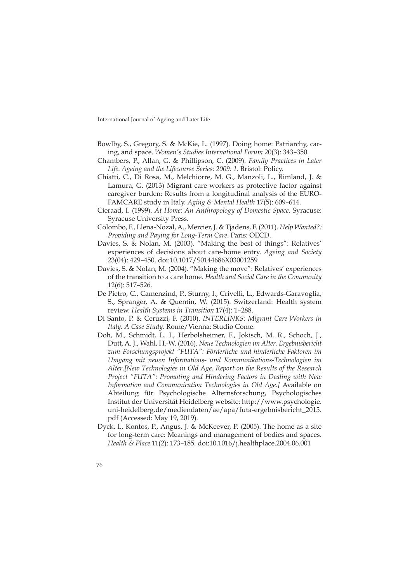- Bowlby, S., Gregory, S. & McKie, L. (1997). Doing home: Patriarchy, caring, and space. *Women's Studies International Forum* 20(3): 343–350.
- Chambers, P., Allan, G. & Phillipson, C. (2009). *Family Practices in Later Life*. *Ageing and the Lifecourse Series: 2009: 1*. Bristol: Policy.
- Chiatti, C., Di Rosa, M., Melchiorre, M. G., Manzoli, L., Rimland, J. & Lamura, G. (2013) Migrant care workers as protective factor against caregiver burden: Results from a longitudinal analysis of the EURO-FAMCARE study in Italy. *Aging & Mental Health* 17(5): 609–614.
- Cieraad, I. (1999). *At Home: An Anthropology of Domestic Space*. Syracuse: Syracuse University Press.
- Colombo, F., Llena-Nozal, A., Mercier, J. & Tjadens, F. (2011). *Help Wanted?: Providing and Paying for Long-Term Care*. Paris: OECD.
- Davies, S. & Nolan, M. (2003). "Making the best of things": Relatives' experiences of decisions about care-home entry. *Ageing and Society*  23(04): 429–450. doi:10.1017/S0144686X03001259
- Davies, S. & Nolan, M. (2004). "Making the move": Relatives' experiences of the transition to a care home. *Health and Social Care in the Community*  12(6): 517–526.
- De Pietro, C., Camenzind, P., Sturny, I., Crivelli, L., Edwards-Garavoglia, S., Spranger, A. & Quentin, W. (2015). Switzerland: Health system review. *Health Systems in Transition* 17(4): 1–288.
- Di Santo, P. & Ceruzzi, F. (2010). *INTERLINKS: Migrant Care Workers in Italy: A Case Study*. Rome/Vienna: Studio Come.
- Doh, M., Schmidt, L. I., Herbolsheimer, F., Jokisch, M. R., Schoch, J., Dutt, A. J., Wahl, H.-W. (2016). *Neue Technologien im Alter. Ergebnisbericht zum Forschungsprojekt "FUTA": Förderliche und hinderliche Faktoren im Umgang mit neuen Informations- und Kommunikations-Technologien im Alter*.*[New Technologies in Old Age. Report on the Results of the Research Project "FUTA": Promoting and Hindering Factors in Dealing with New Information and Communication Technologies in Old Age.]* Available on Abteilung für Psychologische Alternsforschung, Psychologisches Institut der Universität Heidelberg website: [http://www.psychologie.](http://www.psychologie.uni-heidelberg.de/mediendaten/ae/apa/futa-ergebnisbericht_2015.pdf) [uni-heidelberg.de/mediendaten/ae/apa/futa-ergebnisbericht\\_2015.](http://www.psychologie.uni-heidelberg.de/mediendaten/ae/apa/futa-ergebnisbericht_2015.pdf) [pdf](http://www.psychologie.uni-heidelberg.de/mediendaten/ae/apa/futa-ergebnisbericht_2015.pdf) (Accessed: May 19, 2019).
- Dyck, I., Kontos, P., Angus, J. & McKeever, P. (2005). The home as a site for long-term care: Meanings and management of bodies and spaces. *Health & Place* 11(2): 173–185. doi:10.1016/j.healthplace.2004.06.001
- 76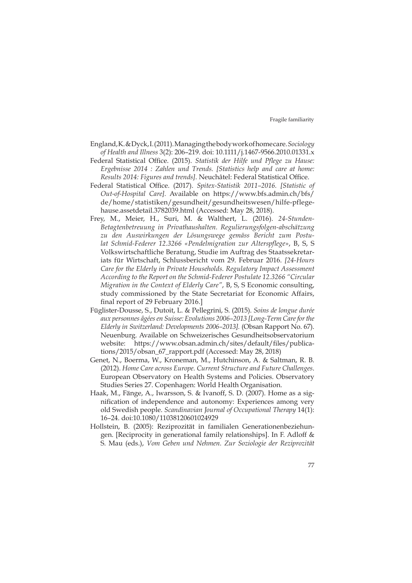- England, K. & Dyck, I. (2011). Managing the body work of home care. *Sociology of Health and Illness* 3(2): 206–219. doi: 10.1111/j.1467-9566.2010.01331.x
- Federal Statistical Office. (2015). *Statistik der Hilfe und Pflege zu Hause: Ergebnisse 2014 : Zahlen und Trends. [Statistics help and care at home: Results 2014: Figures and trends]*. Neuchâtel: Federal Statistical Office.
- Federal Statistical Office. (2017). *Spitex-Statistik 2011–2016. [Statistic of Out-of-Hospital Care].* Available on [https://www.bfs.admin.ch/bfs/](https://www.bfs.admin.ch/bfs/de/home/statistiken/gesundheit/gesundheitswesen/hilfe-pflege-hause.assetdetail.3782039.html) [de/home/statistiken/gesundheit/gesundheitswesen/hilfe-pflege](https://www.bfs.admin.ch/bfs/de/home/statistiken/gesundheit/gesundheitswesen/hilfe-pflege-hause.assetdetail.3782039.html)[hause.assetdetail.3782039.html](https://www.bfs.admin.ch/bfs/de/home/statistiken/gesundheit/gesundheitswesen/hilfe-pflege-hause.assetdetail.3782039.html) (Accessed: May 28, 2018).
- Frey, M., Meier, H., Suri, M. & Walthert, L. (2016). *24-Stunden-Betagtenbetreuung in Privathaushalten. Regulierungsfolgen-abschätzung zu den Auswirkungen der Lösungswege gemäss Bericht zum Postulat Schmid-Federer 12.3266 «Pendelmigration zur Alterspflege»*, B, S, S Volkswirtschaftliche Beratung, Studie im Auftrag des Staatssekretariats für Wirtschaft, Schlussbericht vom 29. Februar 2016. *[24-Hours Care for the Elderly in Private Households. Regulatory Impact Assessment According to the Report on the Schmid-Federer Postulate 12.3266 "Circular Migration in the Context of Elderly Care"*, B, S, S Economic consulting, study commissioned by the State Secretariat for Economic Affairs, final report of 29 February 2016.]
- Füglister-Dousse, S., Dutoit, L. & Pellegrini, S. (2015). *Soins de longue durée aux personnes âgées en Suisse: Evolutions 2006–2013 [Long-Term Care for the Elderly in Switzerland: Developments 2006–2013].* (Obsan Rapport No. 67). Neuenburg. Available on Schweizerisches Gesundheitsobservatorium website: [https://www.obsan.admin.ch/sites/default/files/publica](https://www.obsan.admin.ch/sites/default/files/publications/2015/obsan_67_rapport.pdf)[tions/2015/obsan\\_67\\_rapport.pdf](https://www.obsan.admin.ch/sites/default/files/publications/2015/obsan_67_rapport.pdf) (Accessed: May 28, 2018)
- Genet, N., Boerma, W., Kroneman, M., Hutchinson, A. & Saltman, R. B. (2012). *Home Care across Europe. Current Structure and Future Challenges*. European Observatory on Health Systems and Policies. Observatory Studies Series 27. Copenhagen: World Health Organisation.
- Haak, M., Fänge, A., Iwarsson, S. & Ivanoff, S. D. (2007). Home as a signification of independence and autonomy: Experiences among very old Swedish people. *Scandinavian Journal of Occupational Therapy* 14(1): 16–24. doi:10.1080/11038120601024929
- Hollstein, B. (2005): Reziprozität in familialen Generationenbeziehungen. [Reciprocity in generational family relationships]. In F. Adloff & S. Mau (eds.), *Vom Geben und Nehmen. Zur Soziologie der Reziprozität* 
	- 77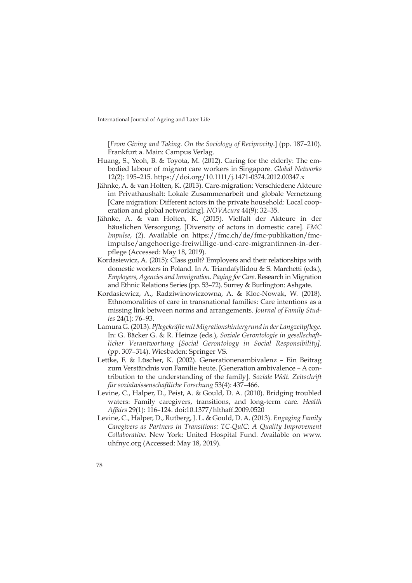[*From Giving and Taking. On the Sociology of Reciprocity*.] (pp. 187–210). Frankfurt a. Main: Campus Verlag.

- Huang, S., Yeoh, B. & Toyota, M. (2012). Caring for the elderly: The embodied labour of migrant care workers in Singapore. *Global Networks* 12(2): 195–215. <https://doi.org/10.1111/j.1471-0374.2012.00347.x>
- Jähnke, A. & van Holten, K. (2013). Care-migration: Verschiedene Akteure im Privathaushalt: Lokale Zusammenarbeit und globale Vernetzung [Care migration: Different actors in the private household: Local cooperation and global networking]. *NOVAcura* 44(9): 32–35.
- Jähnke, A. & van Holten, K. (2015). Vielfalt der Akteure in der häuslichen Versorgung. [Diversity of actors in domestic care]. *FMC Impulse*, (2). Available on [https://fmc.ch/de/fmc-publikation/fmc](https://fmc.ch/de/fmc-publikation/fmc-impulse/angehoerige-freiwillige-und-care-migrantinnen-in-der-pflege)[impulse/angehoerige-freiwillige-und-care-migrantinnen-in-der](https://fmc.ch/de/fmc-publikation/fmc-impulse/angehoerige-freiwillige-und-care-migrantinnen-in-der-pflege)[pflege](https://fmc.ch/de/fmc-publikation/fmc-impulse/angehoerige-freiwillige-und-care-migrantinnen-in-der-pflege) (Accessed: May 18, 2019).
- Kordasiewicz, A. (2015): Class guilt? Employers and their relationships with domestic workers in Poland. In A. Triandafyllidou & S. Marchetti (eds.), *Employers, Agencies and Immigration. Paying for Care*. Research in Migration and Ethnic Relations Series (pp. 53–72). Surrey & Burlington: Ashgate.
- Kordasiewicz, A., Radziwinowiczowna, A. & Kloc-Nowak, W. (2018). Ethnomoralities of care in transnational families: Care intentions as a missing link between norms and arrangements. *Journal of Family Studies* 24(1): 76–93.
- Lamura G. (2013). *Pflegekräfte mit Migrationshintergrund in der Langzeitpflege*. In: G. Bäcker G. & R. Heinze (eds.), *Soziale Gerontologie in gesellschaftlicher Verantwortung [Social Gerontology in Social Responsibility]*. (pp. 307–314). Wiesbaden: Springer VS.
- Lettke, F. & Lüscher, K. (2002). Generationenambivalenz Ein Beitrag zum Verständnis von Familie heute. [Generation ambivalence – A contribution to the understanding of the family]. *Soziale Welt. Zeitschrift für sozialwissenschaftliche Forschung* 53(4): 437–466.
- Levine, C., Halper, D., Peist, A. & Gould, D. A. (2010). Bridging troubled waters: Family caregivers, transitions, and long-term care. *Health Affairs* 29(1): 116–124. doi:10.1377/hlthaff.2009.0520
- Levine, C., Halper, D., Rutberg, J. L. & Gould, D. A. (2013). *Engaging Family Caregivers as Partners in Transitions: TC-QulC: A Quality Improvement Collaborative*. New York: United Hospital Fund. Available on [www.](www.uhfnyc.org) [uhfnyc.org](www.uhfnyc.org) (Accessed: May 18, 2019).
- 78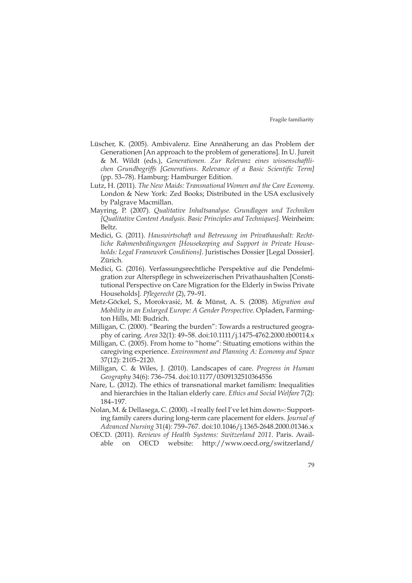- Lüscher, K. (2005). Ambivalenz. Eine Annäherung an das Problem der Generationen [An approach to the problem of generations]. In U. Jureit & M. Wildt (eds.), *Generationen. Zur Relevanz eines wissenschaftlichen Grundbegriffs [Generations. Relevance of a Basic Scientific Term]*  (pp. 53–78). Hamburg: Hamburger Edition.
- Lutz, H. (2011). *The New Maids: Transnational Women and the Care Economy*. London & New York: Zed Books; Distributed in the USA exclusively by Palgrave Macmillan.
- Mayring, P. (2007). *Qualitative Inhaltsanalyse. Grundlagen und Techniken [Qualitative Content Analysis. Basic Principles and Techniques].* Weinheim: Beltz.
- Medici, G. (2011). *Hauswirtschaft und Betreuung im Privathaushalt: Rechtliche Rahmenbedingungen [Housekeeping and Support in Private Households: Legal Framework Conditions]*. Juristisches Dossier [Legal Dossier]. Zürich.
- Medici, G. (2016). Verfassungsrechtliche Perspektive auf die Pendelmigration zur Alterspflege in schweizerischen Privathaushalten [Constitutional Perspective on Care Migration for the Elderly in Swiss Private Households]. *Pflegerecht* (2), 79–91.
- Metz-Göckel, S., Morokvasić, M. & Münst, A. S. (2008). *Migration and Mobility in an Enlarged Europe: A Gender Perspective*. Opladen, Farmington Hills, MI: Budrich.
- Milligan, C. (2000). "Bearing the burden": Towards a restructured geography of caring. *Area* 32(1): 49–58. doi:10.1111/j.1475-4762.2000.tb00114.x
- Milligan, C. (2005). From home to "home": Situating emotions within the caregiving experience. *Environment and Planning A: Economy and Space*  37(12): 2105–2120.
- Milligan, C. & Wiles, J. (2010). Landscapes of care. *Progress in Human Geography* 34(6): 736–754. doi:10.1177/0309132510364556
- Nare, L. (2012). The ethics of transnational market familism: Inequalities and hierarchies in the Italian elderly care. *Ethics and Social Welfare* 7(2): 184–197.
- Nolan, M. & Dellasega, C. (2000). «I really feel I've let him down»: Supporting family carers during long-term care placement for elders. *Journal of Advanced Nursing* 31(4): 759–767. doi:10.1046/j.1365-2648.2000.01346.x
- OECD. (2011). *Reviews of Health Systems: Switzerland 2011*. Paris. Available on OECD website: [http://www.oecd.org/switzerland/](http://www.oecd.org/switzerland/oecdreviewsofhealthsystems-switzerland.htm)
	- 79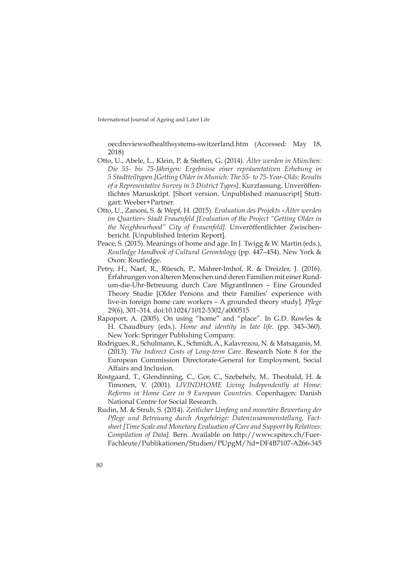[oecdreviewsofhealthsystems-switzerland.htm](http://www.oecd.org/switzerland/oecdreviewsofhealthsystems-switzerland.htm) (Accessed: May 18, 2018)

- Otto, U., Abele, L., Klein, P. & Steffen, G. (2014). *Älter werden in München: Die 55- bis 75-Jährigen: Ergebnisse einer repräsentativen Erhebung in 5 Stadtteiltypen*.*[Getting Older in Munich: The 55- to 75-Year-Olds: Results of a Representative Survey in 5 District Types].* Kurzfassung. Unveröffentlichtes Manuskript. [Short version. Unpublished manuscript] Stuttgart: Weeber+Partner.
- Otto, U., Zanoni, S. & Wepf, H. (2015). *Evaluation des Projekts «Älter werden im Quartier» Stadt Frauenfeld [Evaluation of the Project "Getting Older in the Neighbourhood" City of Frauenfeld]*. Unveröffentlichter Zwischenbericht. [Unpublished Interim Report].
- Peace, S. (2015). Meanings of home and age. In J. Twigg & W. Martin (eds.), *Routledge Handbook of Cultural Gerontology* (pp. 447–454). New York & Oxon: Routledge.
- Petry, H., Naef, R., Rüesch, P., Mahrer-Imhof, R. & Dreizler, J. (2016). Erfahrungen von älteren Menschen und deren Familien mit einer Rundum-die-Uhr-Betreuung durch Care MigrantInnen – Eine Grounded Theory Studie [Older Persons and their Families' experience with live-in foreign home care workers – A grounded theory study]. *Pflege*  29(6), 301–314. doi:10.1024/1012-5302/a000515
- Rapoport, A. (2005). On using "home" and "place". In G.D. Rowles & H. Chaudbury (eds.). *Home and identity in late life*. (pp. 343–360). New York: Springer Publishing Company.
- Rodrigues, R., Schulmann, K., Schmidt, A., Kalavrezou, N. & Matsaganis, M. (2013). *The Indirect Costs of Long-term Care.* Research Note 8 for the European Commission Directorate-General for Employment, Social Affairs and Inclusion.
- Rostgaard, T., Glendinning, C., Gor, C., Szebehely, M., Theobald, H. & Timonen, V. (2001). *LIVINDHOME Living Independently at Home: Reforms in Home Care in 9 European Countries*. Copenhagen: Danish National Centre for Social Research.
- Rudin, M. & Strub, S. (2014). *Zeitlicher Umfang und monetäre Bewertung der Pflege und Betreuung durch Angehörige: Datenzusammenstellung, Factsheet [Time Scale and Monetary Evaluation of Care and Support by Relatives: Compilation of Data].* Bern. Available on [http://www.spitex.ch/Fuer-](http://www.spitex.ch/Fuer-Fachleute/Publikationen/Studien/PUpgM/?id=DF4B7107-A266-345C-B684D68E7956BF3D&method=article.detail&p=1&c=&ref_c=&m=)[Fachleute/Publikationen/Studien/PUpgM/?id=DF4B7107-A266-345](http://www.spitex.ch/Fuer-Fachleute/Publikationen/Studien/PUpgM/?id=DF4B7107-A266-345C-B684D68E7956BF3D&method=article.detail&p=1&c=&ref_c=&m=)
- 80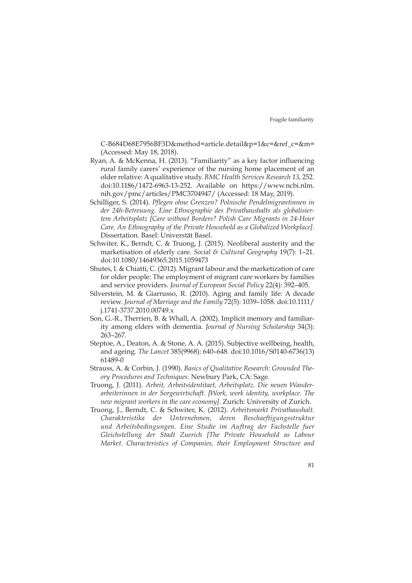[C-B684D68E7956BF3D&method=article.detail&p=1&c=&ref\\_c=&m=](http://www.spitex.ch/Fuer-Fachleute/Publikationen/Studien/PUpgM/?id=DF4B7107-A266-345C-B684D68E7956BF3D&method=article.detail&p=1&c=&ref_c=&m=) (Accessed: May 18, 2018).

- Ryan, A. & McKenna, H. (2013). "Familiarity" as a key factor influencing rural family carers' experience of the nursing home placement of an older relative: A qualitative study. *BMC Health Services Research 13*, 252. doi:10.1186/1472-6963-13-252. Available on [https://www.ncbi.nlm.](https://www.ncbi.nlm.nih.gov/pmc/articles/PMC3704947/) [nih.gov/pmc/articles/PMC3704947/](https://www.ncbi.nlm.nih.gov/pmc/articles/PMC3704947/) (Accessed: 18 May, 2019).
- Schilliger, S. (2014). *Pflegen ohne Grenzen? Polnische Pendelmigrantinnen in der 24h-Betreuung. Eine Ethnographie des Privathaushalts als globalisiertem Arbeitsplatz [Care without Borders? Polish Care Migrants in 24-Hour Care. An Ethnography of the Private Household as a Globalized Workplace].*  Dissertation. Basel: Universtät Basel.
- Schwiter, K., Berndt, C. & Truong, J. (2015). Neoliberal austerity and the marketisation of elderly care. *Social & Cultural Geography* 19(7): 1–21. doi:10.1080/14649365.2015.1059473
- Shutes, I. & Chiatti, C. (2012). Migrant labour and the marketization of care for older people: The employment of migrant care workers by families and service providers. *Journal of European Social Policy* 22(4): 392–405.
- Silverstein, M. & Giarrusso, R. (2010). Aging and family life: A decade review. *Journal of Marriage and the Family* 72(5): 1039–1058. doi:10.1111/ j.1741-3737.2010.00749.x
- Son, G.-R., Therrien, B. & Whall, A. (2002). Implicit memory and familiarity among elders with dementia. *Journal of Nursing Scholarship* 34(3): 263–267.
- Steptoe, A., Deaton, A. & Stone, A. A. (2015). Subjective wellbeing, health, and ageing. *The Lancet* 385(9968): 640–648. doi:10.1016/S0140-6736(13) 61489-0
- Strauss, A. & Corbin, J. (1990). *Basics of Qualitative Research: Grounded Theory Procedures and Techniques*. Newbury Park, CA: Sage.
- Truong, J. (2011). *Arbeit, Arbeitsidentitaet, Arbeitsplatz. Die neuen Wanderarbeiterinnen in der Sorgewirtschaft. [Work, work identity, workplace. The new migrant workers in the care economy].* Zurich: University of Zurich.
- Truong, J., Berndt, C. & Schwiter, K. (2012). *Arbeitsmarkt Privathaushalt. Charakteristika der Unternehmen, deren Beschaeftigungsstruktur und Arbeitsbedingungen. Eine Studie im Auftrag der Fachstelle fuer Gleichstellung der Stadt Zuerich [The Private Household as Labour Market. Characteristics of Companies, their Employment Structure and*